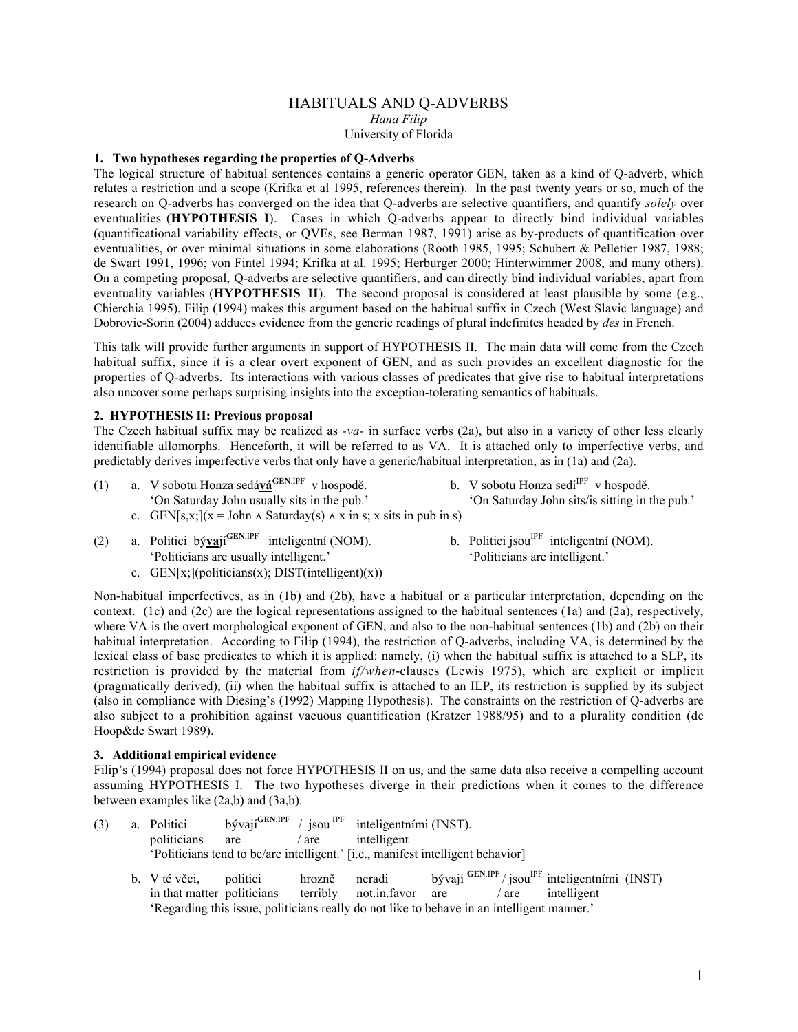# HABITUALS AND Q-ADVERBS *Hana Filip* University of Florida

# **1. Two hypotheses regarding the properties of Q-Adverbs**

The logical structure of habitual sentences contains a generic operator GEN, taken as a kind of Q-adverb, which relates a restriction and a scope (Krifka et al 1995, references therein). In the past twenty years or so, much of the research on Q-adverbs has converged on the idea that Q-adverbs are selective quantifiers, and quantify *solely* over eventualities (**HYPOTHESIS I**). Cases in which Q-adverbs appear to directly bind individual variables (quantificational variability effects, or QVEs, see Berman 1987, 1991) arise as by-products of quantification over eventualities, or over minimal situations in some elaborations (Rooth 1985, 1995; Schubert & Pelletier 1987, 1988; de Swart 1991, 1996; von Fintel 1994; Krifka at al. 1995; Herburger 2000; Hinterwimmer 2008, and many others). On a competing proposal, Q-adverbs are selective quantifiers, and can directly bind individual variables, apart from eventuality variables (**HYPOTHESIS II**). The second proposal is considered at least plausible by some (e.g., Chierchia 1995), Filip (1994) makes this argument based on the habitual suffix in Czech (West Slavic language) and Dobrovie-Sorin (2004) adduces evidence from the generic readings of plural indefinites headed by *des* in French.

This talk will provide further arguments in support of HYPOTHESIS II. The main data will come from the Czech habitual suffix, since it is a clear overt exponent of GEN, and as such provides an excellent diagnostic for the properties of Q-adverbs. Its interactions with various classes of predicates that give rise to habitual interpretations also uncover some perhaps surprising insights into the exception-tolerating semantics of habituals.

# **2. HYPOTHESIS II: Previous proposal**

The Czech habitual suffix may be realized as *-va-* in surface verbs (2a), but also in a variety of other less clearly identifiable allomorphs. Henceforth, it will be referred to as VA. It is attached only to imperfective verbs, and predictably derives imperfective verbs that only have a generic/habitual interpretation, as in (1a) and (2a).

- (1) a. V sobotu Honza sedává<sup>GEN.IPF</sup> v hospodě.<br>
'On Saturday John usually sits in the pub.' On Saturday John sits/is sitting in t
	- c. GEN[s,x;](x = John  $\land$  Saturday(s)  $\land$  x in s; x sits in pub in s)
- (2) a. Politici bý**va**jí<sup>GEN.IPF</sup> inteligentní (NOM). b. Politici jsou<sup>IPF</sup> inteligentní (NOM). 'Politicians are usually intelligent.' ' 'Politicians are usually intelligent.' 'Politicians are intelligent.'
- 

'On Saturday John sits/is sitting in the pub.'

c.  $GEN[x;](politicians(x); DIST(intelligent)(x))$ 

Non-habitual imperfectives, as in (1b) and (2b), have a habitual or a particular interpretation, depending on the context. (1c) and (2c) are the logical representations assigned to the habitual sentences (1a) and (2a), respectively, where VA is the overt morphological exponent of GEN, and also to the non-habitual sentences (1b) and (2b) on their habitual interpretation. According to Filip (1994), the restriction of Q-adverbs, including VA, is determined by the lexical class of base predicates to which it is applied: namely, (i) when the habitual suffix is attached to a SLP, its restriction is provided by the material from *if/when*-clauses (Lewis 1975), which are explicit or implicit (pragmatically derived); (ii) when the habitual suffix is attached to an ILP, its restriction is supplied by its subject (also in compliance with Diesing's (1992) Mapping Hypothesis). The constraints on the restriction of Q-adverbs are also subject to a prohibition against vacuous quantification (Kratzer 1988/95) and to a plurality condition (de Hoop&de Swart 1989).

#### **3. Additional empirical evidence**

Filip's (1994) proposal does not force HYPOTHESIS II on us, and the same data also receive a compelling account assuming HYPOTHESIS I. The two hypotheses diverge in their predictions when it comes to the difference between examples like (2a,b) and (3a,b).

| (3) |                                                                                 | a. Politici                                          |     |        | bývají ${}^{GEN.IPF}$ / jsou ${}^{IPF}$ inteligentními (INST).                                                                    |  |         |                                                                                         |  |
|-----|---------------------------------------------------------------------------------|------------------------------------------------------|-----|--------|-----------------------------------------------------------------------------------------------------------------------------------|--|---------|-----------------------------------------------------------------------------------------|--|
|     |                                                                                 | politicians                                          | are | are    | intelligent                                                                                                                       |  |         |                                                                                         |  |
|     | 'Politicians tend to be/are intelligent.' [i.e., manifest intelligent behavior] |                                                      |     |        |                                                                                                                                   |  |         |                                                                                         |  |
|     |                                                                                 | b. V té věci, politici<br>in that matter politicians |     | hrozně | neradi<br>terribly not.in.favor are<br>'Regarding this issue, politicians really do not like to behave in an intelligent manner.' |  | $/$ are | bývají $\frac{GEN/IPF}{} $ jsou $\frac{IPF}{ IPE}$ inteligentními (INST)<br>intelligent |  |